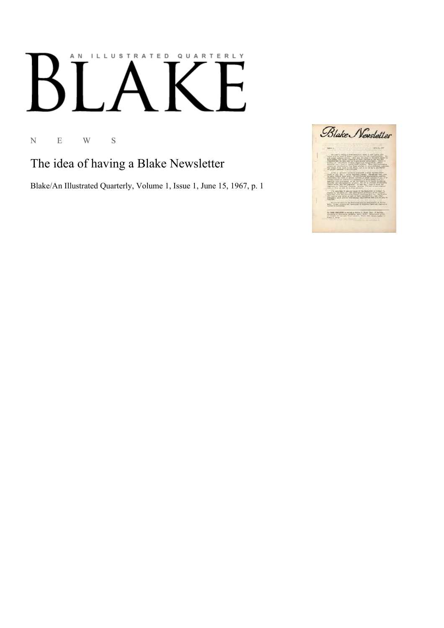## AN ILLUSTRATED QUARTERLY  $\boldsymbol{\mathsf{F}}$

N E W S

The idea of having a Blake Newsletter

Blake/An Illustrated Quarterly, Volume 1, Issue 1, June 15, 1967, p. 1